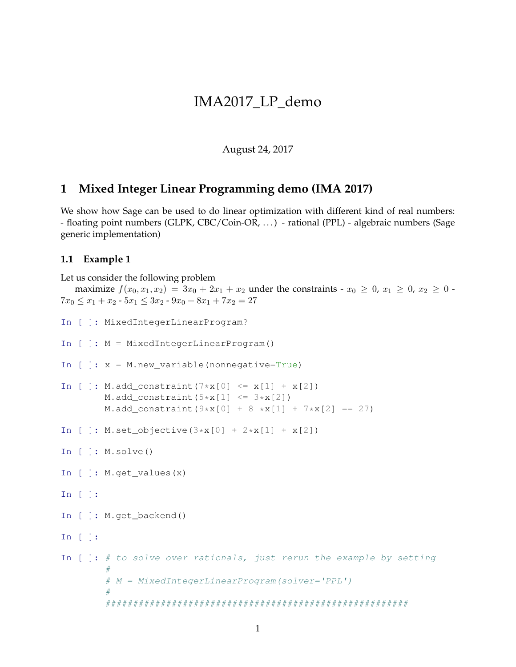## IMA2017\_LP\_demo

August 24, 2017

## **1 Mixed Integer Linear Programming demo (IMA 2017)**

We show how Sage can be used to do linear optimization with different kind of real numbers: - floating point numbers (GLPK, CBC/Coin-OR, . . . ) - rational (PPL) - algebraic numbers (Sage generic implementation)

## **1.1 Example 1**

```
Let us consider the following problem
  maximize f(x_0, x_1, x_2) = 3x_0 + 2x_1 + x_2 under the constraints - x_0 \ge 0, x_1 \ge 0, x_2 \ge 0 -
7x_0 \leq x_1 + x_2 - 5x_1 \leq 3x_2 - 9x_0 + 8x_1 + 7x_2 = 27In [ ]: MixedIntegerLinearProgram?
In [ ]: M = MixedIntegerLinearProgram()
In [ ]: x = M.new_variable(nonnegative=True)
In [ ]: M.add_constraint(7*x[0] \le x[1] + x[2])
        M.add_constraint(5*x[1] \leq 3*x[2])M.add_constraint(9*x[0] + 8*x[1] + 7*x[2] == 27)
In [ ]: M.set_objective(3*x[0] + 2*x[1] + x[2])
In [ ]: M.solve()
In [ ]: M.get_values(x)
In [ ]:
In [ ]: M.get backend()
In [ ]:
In [ ]: \# to solve over rationals, just rerun the example by setting
         #
         # M = MixedIntegerLinearProgram(solver='PPL')
         #
         #######################################################
```